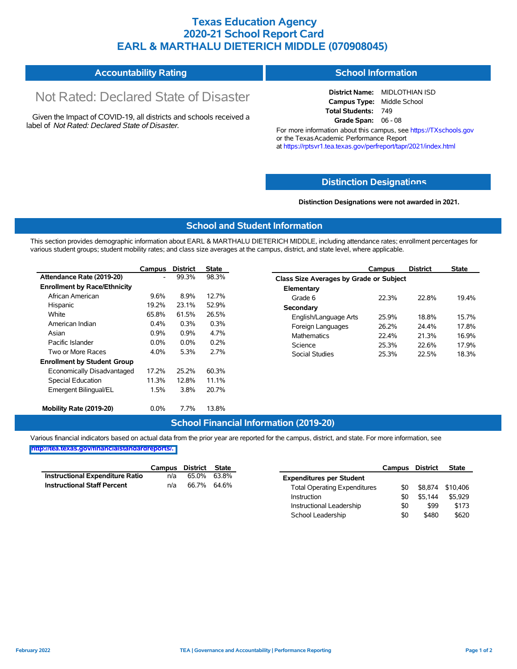## **Texas Education Agency 2020-21 School Report Card EARL & MARTHALU DIETERICH MIDDLE (070908045)**

#### **Accountability Rating School Information**

# Not Rated: Declared State of Disaster

Given the Impact of COVID-19, all districts and schools received a label of *Not Rated: Declared State of Disaster.*

**District Name:** MIDLOTHIAN ISD **Campus Type:** Middle School **Total Students:** 749 **Grade Span:** 06 - 08

For more information about this campus, see https://TXschools.gov or the Texas Academic Performance Report at https://rptsvr1.tea.texas.gov/perfreport/tapr/2021/index.html

#### **Distinction Designat[ions](https://TXschools.gov)**

**Distinction Designations were not awarded in 2021.**

School Leadership  $$0$  \$480 \$620

#### **School and Student Information**

This section provides demographic information about EARL & MARTHALU DIETERICH MIDDLE, including attendance rates; enrollment percentages for various student groups; student mobility rates; and class size averages at the campus, district, and state level, where applicable.

|                                     | Campus                                             | <b>District</b>                | <b>State</b>               | Campus                  | <b>District</b>                         | <b>State</b> |  |  |  |  |
|-------------------------------------|----------------------------------------------------|--------------------------------|----------------------------|-------------------------|-----------------------------------------|--------------|--|--|--|--|
| Attendance Rate (2019-20)           | $\overline{\phantom{a}}$                           | 99.3%                          | 98.3%                      |                         | Class Size Averages by Grade or Subject |              |  |  |  |  |
| <b>Enrollment by Race/Ethnicity</b> |                                                    |                                |                            | Elementary              |                                         |              |  |  |  |  |
| African American                    | 9.6%<br>8.9%<br>12.7%<br>Grade 6                   | 22.3%                          | 22.8%                      | 19.4%                   |                                         |              |  |  |  |  |
| Hispanic                            | 19.2%                                              | 23.1%                          | 52.9%                      | Secondary               |                                         |              |  |  |  |  |
| White                               | 65.8%<br>61.5%<br>26.5%<br>$0.4\%$<br>0.3%<br>0.3% | 25.9%<br>English/Language Arts | 18.8%                      | 15.7%<br>17.8%          |                                         |              |  |  |  |  |
| American Indian                     |                                                    | 26.2%<br>Foreign Languages     | 24.4%                      |                         |                                         |              |  |  |  |  |
| Asian                               | 0.9%                                               | 0.9%                           | 4.7%<br><b>Mathematics</b> | 22.4%                   | 21.3%                                   | 16.9%        |  |  |  |  |
| Pacific Islander                    | $0.0\%$<br>$0.0\%$<br>0.2%                         |                                |                            | 25.3%<br>Science        | 22.6%                                   | 17.9%        |  |  |  |  |
| Two or More Races                   | 4.0%                                               | 5.3%                           | 2.7%                       | Social Studies<br>25.3% | 22.5%                                   | 18.3%        |  |  |  |  |
| <b>Enrollment by Student Group</b>  |                                                    |                                |                            |                         |                                         |              |  |  |  |  |
| Economically Disadvantaged          | 17.2%                                              | 25.2%                          | 60.3%                      |                         |                                         |              |  |  |  |  |
| Special Education                   | 11.3%                                              | 12.8%                          | 11.1%                      |                         |                                         |              |  |  |  |  |
| Emergent Bilingual/EL               | 1.5%                                               | 3.8%                           | 20.7%                      |                         |                                         |              |  |  |  |  |
|                                     |                                                    |                                |                            |                         |                                         |              |  |  |  |  |
| Mobility Rate (2019-20)             | $0.0\%$                                            | 7.7%                           | 13.8%                      |                         |                                         |              |  |  |  |  |

#### **School Financial Information (2019-20)**

Various financial indicators based on actual data from the prior year are reported for the campus, district, and state. For more information, see

**[http://tea.texas.gov/financialstandardreports/.](http://tea.texas.gov/financialstandardreports/)**

|                                        | Campus | District | State       |                                     | Campus | <b>District</b> | <b>State</b> |
|----------------------------------------|--------|----------|-------------|-------------------------------------|--------|-----------------|--------------|
| <b>Instructional Expenditure Ratio</b> | n/a    | 65.0%    | 63.8%       | <b>Expenditures per Student</b>     |        |                 |              |
| <b>Instructional Staff Percent</b>     | n/a    |          | 66.7% 64.6% | <b>Total Operating Expenditures</b> | \$0    | \$8.874         | \$10,406     |
|                                        |        |          |             | Instruction                         | \$0    | \$5.144         | \$5.929      |
|                                        |        |          |             | Instructional Leadership            | \$0    | \$99            | \$173        |